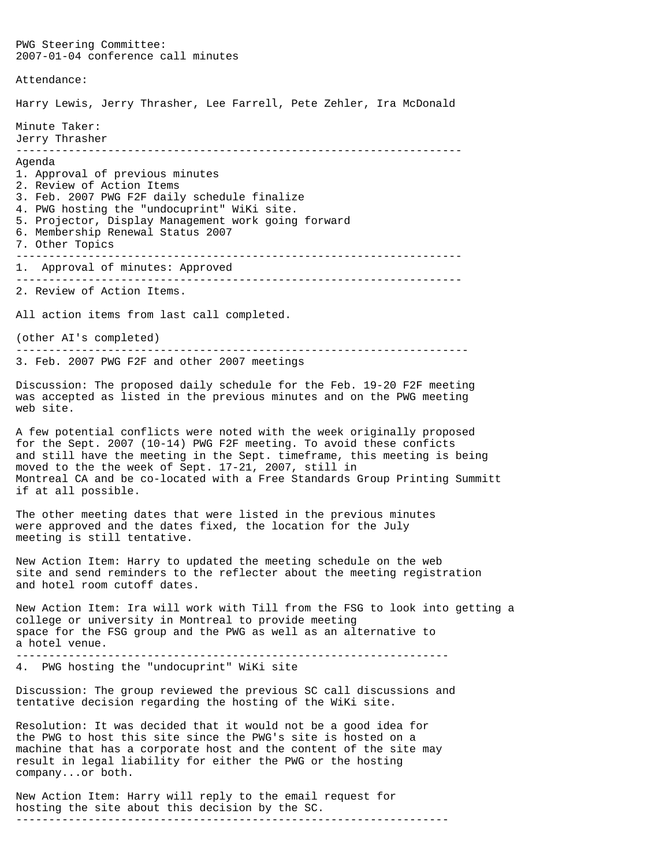PWG Steering Committee: 2007-01-04 conference call minutes Attendance: Harry Lewis, Jerry Thrasher, Lee Farrell, Pete Zehler, Ira McDonald Minute Taker: Jerry Thrasher -------------------------------------------------------------------- Agenda 1. Approval of previous minutes 2. Review of Action Items 3. Feb. 2007 PWG F2F daily schedule finalize 4. PWG hosting the "undocuprint" WiKi site. 5. Projector, Display Management work going forward 6. Membership Renewal Status 2007 7. Other Topics -------------------------------------------------------------------- 1. Approval of minutes: Approved -------------------------------------------------------------------- 2. Review of Action Items. All action items from last call completed. (other AI's completed) --------------------------------------------------------------------- 3. Feb. 2007 PWG F2F and other 2007 meetings Discussion: The proposed daily schedule for the Feb. 19-20 F2F meeting was accepted as listed in the previous minutes and on the PWG meeting web site. A few potential conflicts were noted with the week originally proposed for the Sept. 2007 (10-14) PWG F2F meeting. To avoid these conficts and still have the meeting in the Sept. timeframe, this meeting is being moved to the the week of Sept. 17-21, 2007, still in Montreal CA and be co-located with a Free Standards Group Printing Summitt if at all possible. The other meeting dates that were listed in the previous minutes were approved and the dates fixed, the location for the July meeting is still tentative. New Action Item: Harry to updated the meeting schedule on the web site and send reminders to the reflecter about the meeting registration and hotel room cutoff dates. New Action Item: Ira will work with Till from the FSG to look into getting a college or university in Montreal to provide meeting space for the FSG group and the PWG as well as an alternative to a hotel venue. ------------------------------------------------------------------ 4. PWG hosting the "undocuprint" WiKi site Discussion: The group reviewed the previous SC call discussions and tentative decision regarding the hosting of the WiKi site. Resolution: It was decided that it would not be a good idea for the PWG to host this site since the PWG's site is hosted on a machine that has a corporate host and the content of the site may result in legal liability for either the PWG or the hosting company...or both.

New Action Item: Harry will reply to the email request for hosting the site about this decision by the SC. ------------------------------------------------------------------